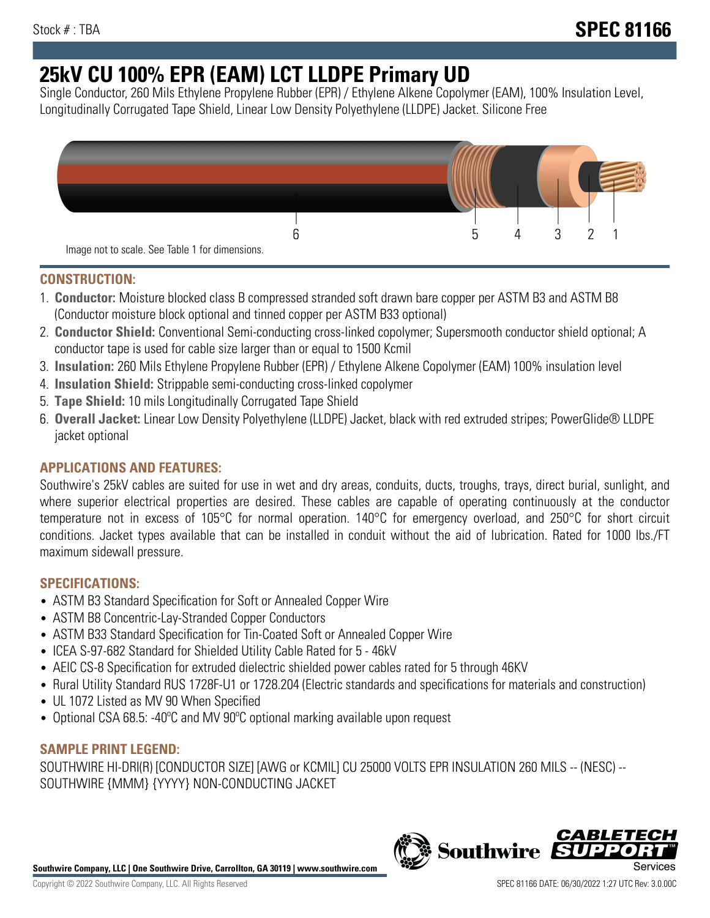# **25kV CU 100% EPR (EAM) LCT LLDPE Primary UD**

Single Conductor, 260 Mils Ethylene Propylene Rubber (EPR) / Ethylene Alkene Copolymer (EAM), 100% Insulation Level, Longitudinally Corrugated Tape Shield, Linear Low Density Polyethylene (LLDPE) Jacket. Silicone Free



### **CONSTRUCTION:**

- 1. **Conductor:** Moisture blocked class B compressed stranded soft drawn bare copper per ASTM B3 and ASTM B8 (Conductor moisture block optional and tinned copper per ASTM B33 optional)
- 2. **Conductor Shield:** Conventional Semi-conducting cross-linked copolymer; Supersmooth conductor shield optional; A conductor tape is used for cable size larger than or equal to 1500 Kcmil
- 3. **Insulation:** 260 Mils Ethylene Propylene Rubber (EPR) / Ethylene Alkene Copolymer (EAM) 100% insulation level
- 4. **Insulation Shield:** Strippable semi-conducting cross-linked copolymer
- 5. **Tape Shield:** 10 mils Longitudinally Corrugated Tape Shield
- 6. **Overall Jacket:** Linear Low Density Polyethylene (LLDPE) Jacket, black with red extruded stripes; PowerGlide® LLDPE jacket optional

### **APPLICATIONS AND FEATURES:**

Southwire's 25kV cables are suited for use in wet and dry areas, conduits, ducts, troughs, trays, direct burial, sunlight, and where superior electrical properties are desired. These cables are capable of operating continuously at the conductor temperature not in excess of 105°C for normal operation. 140°C for emergency overload, and 250°C for short circuit conditions. Jacket types available that can be installed in conduit without the aid of lubrication. Rated for 1000 lbs./FT maximum sidewall pressure.

### **SPECIFICATIONS:**

- ASTM B3 Standard Specification for Soft or Annealed Copper Wire
- ASTM B8 Concentric-Lay-Stranded Copper Conductors
- ASTM B33 Standard Specification for Tin-Coated Soft or Annealed Copper Wire
- ICEA S-97-682 Standard for Shielded Utility Cable Rated for 5 46kV
- AEIC CS-8 Specification for extruded dielectric shielded power cables rated for 5 through 46KV
- Rural Utility Standard RUS 1728F-U1 or 1728.204 (Electric standards and specifications for materials and construction)
- UL 1072 Listed as MV 90 When Specified
- Optional CSA 68.5: -40ºC and MV 90ºC optional marking available upon request

### **SAMPLE PRINT LEGEND:**

SOUTHWIRE HI-DRI(R) [CONDUCTOR SIZE] [AWG or KCMIL] CU 25000 VOLTS EPR INSULATION 260 MILS -- (NESC) -- SOUTHWIRE {MMM} {YYYY} NON-CONDUCTING JACKET

**Southwire Company, LLC | One Southwire Drive, Carrollton, GA 30119 | www.southwire.com**